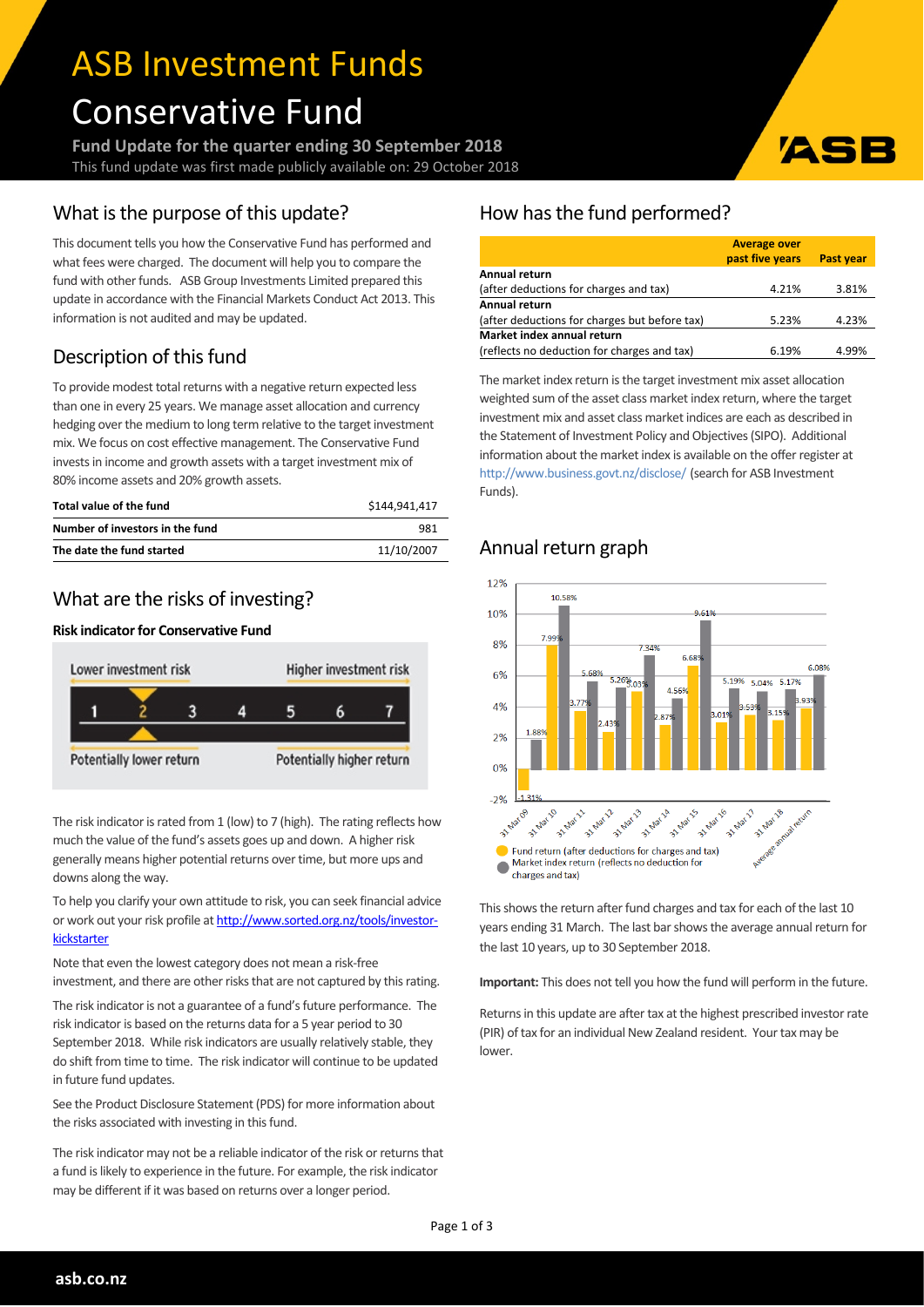# ASB Investment Funds Conservative Fund

**Fund Update for the quarter ending 30 September 2018** This fund update was first made publicly available on: 29 October 2018

# What is the purpose of this update?

This document tells you how the Conservative Fund has performed and what fees were charged. The document will help you to compare the fund with other funds. ASB Group Investments Limited prepared this update in accordance with the Financial Markets Conduct Act 2013. This information is not audited and may be updated.

# Description of this fund

To provide modest total returns with a negative return expected less than one in every 25 years. We manage asset allocation and currency hedging over the medium to long term relative to the target investment mix. We focus on cost effective management. The Conservative Fund invests in income and growth assets with a target investment mix of 80% income assets and 20% growth assets.

| Total value of the fund         | \$144.941.417 |
|---------------------------------|---------------|
| Number of investors in the fund | 981           |
| The date the fund started       | 11/10/2007    |

## What are the risks of investing?

#### **Risk indicator for Conservative Fund**



The risk indicator is rated from 1 (low) to 7 (high). The rating reflects how much the value of the fund's assets goes up and down. A higher risk generally means higher potential returns over time, but more ups and downs along the way.

To help you clarify your own attitude to risk, you can seek financial advice or work out your risk profile at [http://www.sorted.org.nz/tools/investor](http://www.sorted.org.nz/tools/investor-kickstarter)**[kickstarter](http://www.sorted.org.nz/tools/investor-kickstarter)** 

Note that even the lowest category does not mean a risk-free investment, and there are other risks that are not captured by this rating.

The risk indicator is not a guarantee of a fund's future performance. The risk indicator is based on the returns data for a 5 year period to 30 September 2018. While risk indicators are usually relatively stable, they do shift from time to time. The risk indicator will continue to be updated in future fund updates.

See the Product Disclosure Statement (PDS) for more information about the risks associated with investing in this fund.

The risk indicator may not be a reliable indicator of the risk or returns that a fund is likely to experience in the future. For example, the risk indicator may be different if it was based on returns over a longer period.

# How has the fund performed?

|                                               | <b>Average over</b> |                  |
|-----------------------------------------------|---------------------|------------------|
|                                               | past five years     | <b>Past year</b> |
| Annual return                                 |                     |                  |
| (after deductions for charges and tax)        | 4.21%               | 3.81%            |
| Annual return                                 |                     |                  |
| (after deductions for charges but before tax) | 5.23%               | 4.23%            |
| Market index annual return                    |                     |                  |
| (reflects no deduction for charges and tax)   | 6.19%               | 4.99%            |

ASI

The market index return is the target investment mix asset allocation weighted sum of the asset class market index return, where the target investment mix and asset class market indices are each as described in the Statement of Investment Policy and Objectives(SIPO). Additional information about the market index is available on the offer register at <http://www.business.govt.nz/disclose/> (search for ASB Investment Funds).

# Annual return graph



This shows the return after fund charges and tax for each of the last 10 years ending 31 March. The last bar shows the average annual return for the last 10 years, up to 30 September 2018.

**Important:** This does not tell you how the fund will perform in the future.

Returns in this update are after tax at the highest prescribed investor rate (PIR) of tax for an individual New Zealand resident. Your tax may be lower.

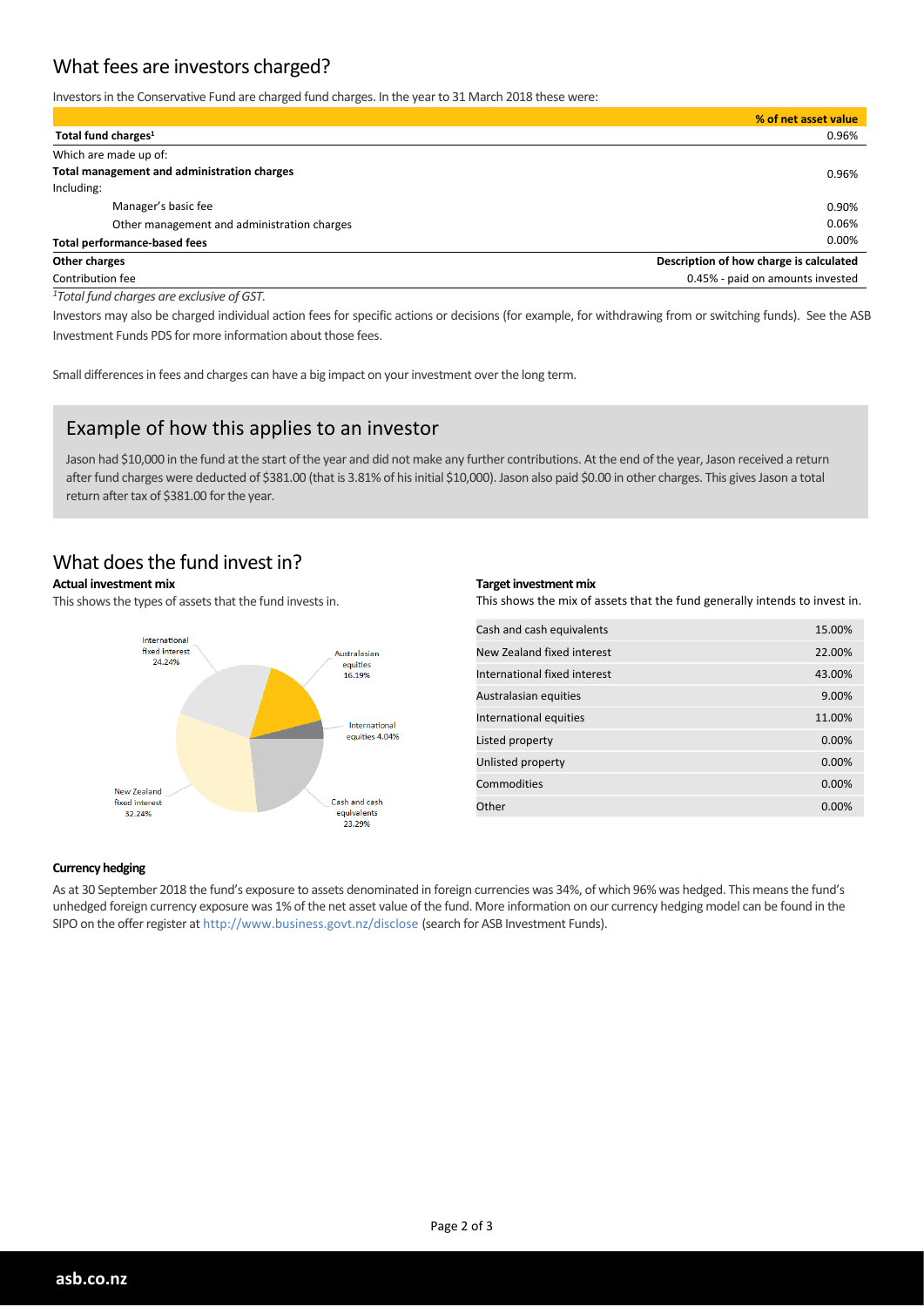# What fees are investors charged?

Investorsin the Conservative Fund are charged fund charges. In the yearto 31 March 2018 these were:

|                                             | % of net asset value                    |
|---------------------------------------------|-----------------------------------------|
| Total fund charges <sup>1</sup>             | 0.96%                                   |
| Which are made up of:                       |                                         |
| Total management and administration charges | 0.96%                                   |
| Including:                                  |                                         |
| Manager's basic fee                         | 0.90%                                   |
| Other management and administration charges | 0.06%                                   |
| <b>Total performance-based fees</b>         | 0.00%                                   |
| Other charges                               | Description of how charge is calculated |
| Contribution fee                            | 0.45% - paid on amounts invested        |

*<sup>1</sup>Total fund charges are exclusive of GST.*

Investors may also be charged individual action fees for specific actions or decisions (for example, for withdrawing from or switching funds). See the ASB Investment Funds PDS for more information about those fees.

Small differences in fees and charges can have a big impact on your investment over the long term.

## Example of how this applies to an investor

Jason had \$10,000 in the fund at the start of the year and did not make any further contributions. At the end of the year, Jason received a return after fund charges were deducted of \$381.00 (that is 3.81% of his initial \$10,000). Jason also paid \$0.00 in other charges. This gives Jason a total return after tax of \$381.00 for the year.

## What does the fund invest in?

#### **Actual investment mix**

This shows the types of assets that the fund invests in.



#### **Target investment mix**

This shows the mix of assets that the fund generally intends to invest in.

| Cash and cash equivalents    | 15.00%   |
|------------------------------|----------|
| New Zealand fixed interest   | 22.00%   |
| International fixed interest | 43.00%   |
| Australasian equities        | 9.00%    |
| International equities       | 11.00%   |
| Listed property              | $0.00\%$ |
| Unlisted property            | 0.00%    |
| Commodities                  | $0.00\%$ |
| Other                        | 0.00%    |

#### **Currency hedging**

As at 30 September 2018 the fund's exposure to assets denominated in foreign currencies was 34%, of which 96% was hedged. This meansthe fund's unhedged foreign currency exposure was 1% of the net asset value of the fund. More information on our currency hedging model can be found in the SIPO on the offerregister at http://www.business.govt.nz/disclose (search for ASB Investment Funds).